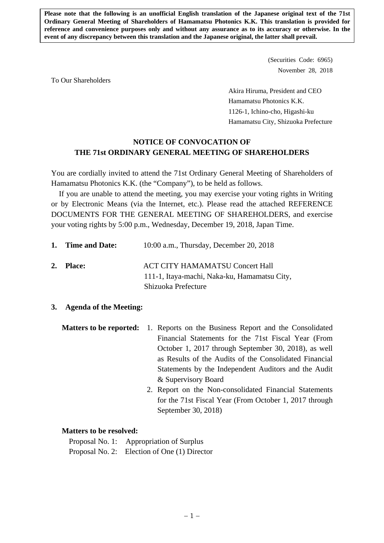**Please note that the following is an unofficial English translation of the Japanese original text of the 71st Ordinary General Meeting of Shareholders of Hamamatsu Photonics K.K. This translation is provided for reference and convenience purposes only and without any assurance as to its accuracy or otherwise. In the event of any discrepancy between this translation and the Japanese original, the latter shall prevail.** 

> (Securities Code: 6965) November 28, 2018

To Our Shareholders

 Akira Hiruma, President and CEO Hamamatsu Photonics K.K. 1126-1, Ichino-cho, Higashi-ku Hamamatsu City, Shizuoka Prefecture

# **NOTICE OF CONVOCATION OF THE 71st ORDINARY GENERAL MEETING OF SHAREHOLDERS**

You are cordially invited to attend the 71st Ordinary General Meeting of Shareholders of Hamamatsu Photonics K.K. (the "Company"), to be held as follows.

If you are unable to attend the meeting, you may exercise your voting rights in Writing or by Electronic Means (via the Internet, etc.). Please read the attached REFERENCE DOCUMENTS FOR THE GENERAL MEETING OF SHAREHOLDERS, and exercise your voting rights by 5:00 p.m., Wednesday, December 19, 2018, Japan Time.

| 1. Time and Date: | $10:00$ a.m., Thursday, December 20, 2018                                              |
|-------------------|----------------------------------------------------------------------------------------|
| 2. Place:         | <b>ACT CITY HAMAMATSU Concert Hall</b><br>111-1, Itaya-machi, Naka-ku, Hamamatsu City, |
|                   | Shizuoka Prefecture                                                                    |

# **3. Agenda of the Meeting:**

**Matters to be reported:** 1. Reports on the Business Report and the Consolidated Financial Statements for the 71st Fiscal Year (From October 1, 2017 through September 30, 2018), as well as Results of the Audits of the Consolidated Financial Statements by the Independent Auditors and the Audit & Supervisory Board

> 2. Report on the Non-consolidated Financial Statements for the 71st Fiscal Year (From October 1, 2017 through September 30, 2018)

# **Matters to be resolved:**

Proposal No. 1: Appropriation of Surplus Proposal No. 2: Election of One (1) Director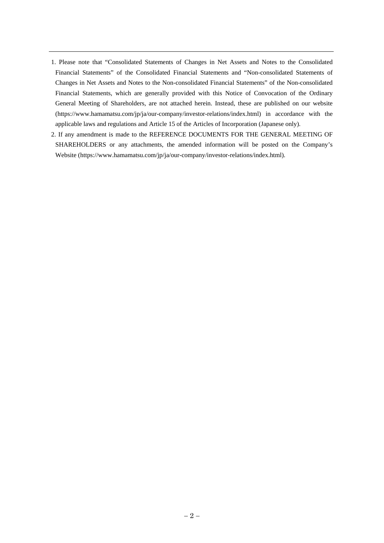- 1. Please note that "Consolidated Statements of Changes in Net Assets and Notes to the Consolidated Financial Statements" of the Consolidated Financial Statements and "Non-consolidated Statements of Changes in Net Assets and Notes to the Non-consolidated Financial Statements" of the Non-consolidated Financial Statements, which are generally provided with this Notice of Convocation of the Ordinary General Meeting of Shareholders, are not attached herein. Instead, these are published on our website (https://www.hamamatsu.com/jp/ja/our-company/investor-relations/index.html) in accordance with the applicable laws and regulations and Article 15 of the Articles of Incorporation (Japanese only).
- 2. If any amendment is made to the REFERENCE DOCUMENTS FOR THE GENERAL MEETING OF SHAREHOLDERS or any attachments, the amended information will be posted on the Company's Website (https://www.hamamatsu.com/jp/ja/our-company/investor-relations/index.html).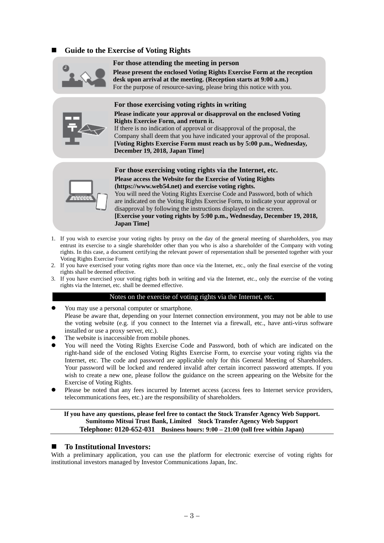# **Guide to the Exercise of Voting Rights**



#### **For those attending the meeting in person**

**Please present the enclosed Voting Rights Exercise Form at the reception desk upon arrival at the meeting. (Reception starts at 9:00 a.m.)**  For the purpose of resource-saving, please bring this notice with you.



**For those exercising voting rights in writing Please indicate your approval or disapproval on the enclosed Voting Rights Exercise Form, and return it.**  If there is no indication of approval or disapproval of the proposal, the

Company shall deem that you have indicated your approval of the proposal. **[Voting Rights Exercise Form must reach us by 5:00 p.m., Wednesday, December 19, 2018, Japan Time]** 



**For those exercising voting rights via the Internet, etc. Please access the Website for the Exercise of Voting Rights (https://www.web54.net) and exercise voting rights.**  You will need the Voting Rights Exercise Code and Password, both of which are indicated on the Voting Rights Exercise Form, to indicate your approval or disapproval by following the instructions displayed on the screen. **[Exercise your voting rights by 5:00 p.m., Wednesday, December 19, 2018,** 

1. If you wish to exercise your voting rights by proxy on the day of the general meeting of shareholders, you may entrust its exercise to a single shareholder other than you who is also a shareholder of the Company with voting **Japan Time]** 

- rights. In this case, a document certifying the relevant power of representation shall be presented together with your Voting Rights Exercise Form.
- 2. If you have exercised your voting rights more than once via the Internet, etc., only the final exercise of the voting rights shall be deemed effective.
- 3. If you have exercised your voting rights both in writing and via the Internet, etc., only the exercise of the voting rights via the Internet, etc. shall be deemed effective.

#### Notes on the exercise of voting rights via the Internet, etc.

- You may use a personal computer or smartphone. Please be aware that, depending on your Internet connection environment, you may not be able to use the voting website (e.g. if you connect to the Internet via a firewall, etc., have anti-virus software installed or use a proxy server, etc.).
- The website is inaccessible from mobile phones.
- You will need the Voting Rights Exercise Code and Password, both of which are indicated on the right-hand side of the enclosed Voting Rights Exercise Form, to exercise your voting rights via the Internet, etc. The code and password are applicable only for this General Meeting of Shareholders. Your password will be locked and rendered invalid after certain incorrect password attempts. If you wish to create a new one, please follow the guidance on the screen appearing on the Website for the Exercise of Voting Rights.
- Please be noted that any fees incurred by Internet access (access fees to Internet service providers, telecommunications fees, etc.) are the responsibility of shareholders.

### **If you have any questions, please feel free to contact the Stock Transfer Agency Web Support. Sumitomo Mitsui Trust Bank, Limited Stock Transfer Agency Web Support Telephone: 0120-652-031 Business hours: 9:00 – 21:00 (toll free within Japan)**

#### **To Institutional Investors:**

With a preliminary application, you can use the platform for electronic exercise of voting rights for institutional investors managed by Investor Communications Japan, Inc.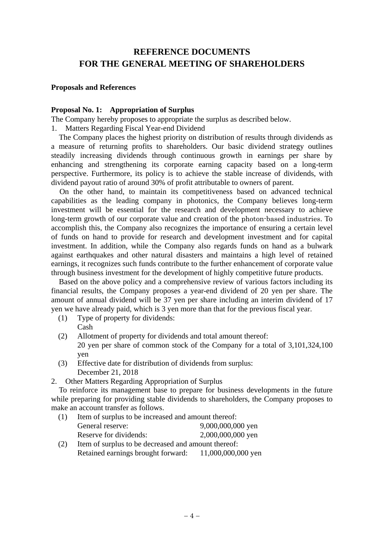# **REFERENCE DOCUMENTS FOR THE GENERAL MEETING OF SHAREHOLDERS**

## **Proposals and References**

## **Proposal No. 1: Appropriation of Surplus**

The Company hereby proposes to appropriate the surplus as described below.

1. Matters Regarding Fiscal Year-end Dividend

The Company places the highest priority on distribution of results through dividends as a measure of returning profits to shareholders. Our basic dividend strategy outlines steadily increasing dividends through continuous growth in earnings per share by enhancing and strengthening its corporate earning capacity based on a long-term perspective. Furthermore, its policy is to achieve the stable increase of dividends, with dividend payout ratio of around 30% of profit attributable to owners of parent.

On the other hand, to maintain its competitiveness based on advanced technical capabilities as the leading company in photonics, the Company believes long-term investment will be essential for the research and development necessary to achieve long-term growth of our corporate value and creation of the photon-based industries. To accomplish this, the Company also recognizes the importance of ensuring a certain level of funds on hand to provide for research and development investment and for capital investment. In addition, while the Company also regards funds on hand as a bulwark against earthquakes and other natural disasters and maintains a high level of retained earnings, it recognizes such funds contribute to the further enhancement of corporate value through business investment for the development of highly competitive future products.

Based on the above policy and a comprehensive review of various factors including its financial results, the Company proposes a year-end dividend of 20 yen per share. The amount of annual dividend will be 37 yen per share including an interim dividend of 17 yen we have already paid, which is 3 yen more than that for the previous fiscal year.

- (1) Type of property for dividends: Cash
- (2) Allotment of property for dividends and total amount thereof: 20 yen per share of common stock of the Company for a total of 3,101,324,100 yen
- (3) Effective date for distribution of dividends from surplus: December 21, 2018
- 2. Other Matters Regarding Appropriation of Surplus

To reinforce its management base to prepare for business developments in the future while preparing for providing stable dividends to shareholders, the Company proposes to make an account transfer as follows.

- (1) Item of surplus to be increased and amount thereof: General reserve: 9,000,000,000 yen Reserve for dividends: 2,000,000,000 yen (2) Item of surplus to be decreased and amount thereof:
- Retained earnings brought forward: 11,000,000,000 yen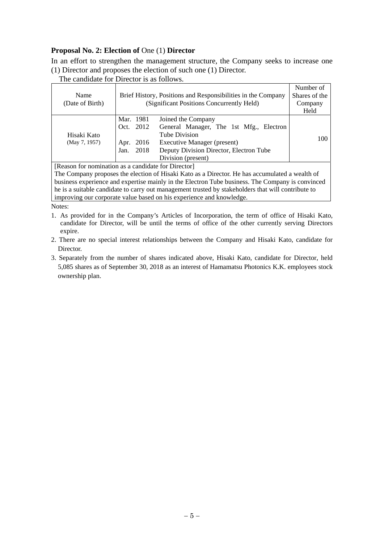# **Proposal No. 2: Election of** One (1) **Director**

In an effort to strengthen the management structure, the Company seeks to increase one (1) Director and proposes the election of such one (1) Director.

The candidate for Director is as follows.

| Name                                                |              | Brief History, Positions and Responsibilities in the Company | Number of<br>Shares of the |
|-----------------------------------------------------|--------------|--------------------------------------------------------------|----------------------------|
| (Date of Birth)                                     |              | (Significant Positions Concurrently Held)                    |                            |
|                                                     |              |                                                              | Company                    |
|                                                     |              |                                                              | Held                       |
|                                                     | Mar. 1981    | Joined the Company                                           |                            |
|                                                     | Oct. 2012    | General Manager, The 1st Mfg., Electron                      |                            |
| Hisaki Kato                                         |              | Tube Division                                                | 100                        |
| (May 7, 1957)                                       | Apr. 2016    | Executive Manager (present)                                  |                            |
|                                                     | 2018<br>Jan. | Deputy Division Director, Electron Tube                      |                            |
|                                                     |              | Division (present)                                           |                            |
| [Reason for nomination as a candidate for Director] |              |                                                              |                            |
|                                                     |              |                                                              |                            |

The Company proposes the election of Hisaki Kato as a Director. He has accumulated a wealth of business experience and expertise mainly in the Electron Tube business. The Company is convinced he is a suitable candidate to carry out management trusted by stakeholders that will contribute to improving our corporate value based on his experience and knowledge.

Notes:

- 1. As provided for in the Company's Articles of Incorporation, the term of office of Hisaki Kato, candidate for Director, will be until the terms of office of the other currently serving Directors expire.
- 2. There are no special interest relationships between the Company and Hisaki Kato, candidate for Director.
- 3. Separately from the number of shares indicated above, Hisaki Kato, candidate for Director, held 5,085 shares as of September 30, 2018 as an interest of Hamamatsu Photonics K.K. employees stock ownership plan.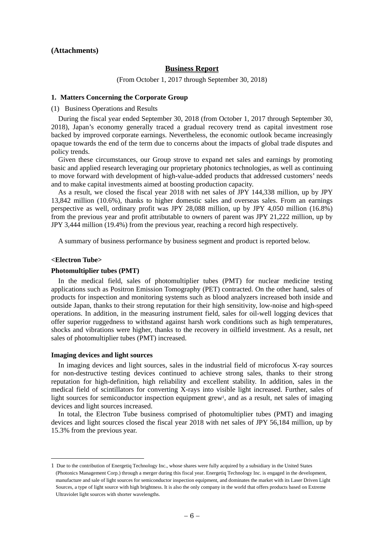#### **(Attachments)**

### **Business Report**

(From October 1, 2017 through September 30, 2018)

#### **1. Matters Concerning the Corporate Group**

#### (1) Business Operations and Results

During the fiscal year ended September 30, 2018 (from October 1, 2017 through September 30, 2018), Japan's economy generally traced a gradual recovery trend as capital investment rose backed by improved corporate earnings. Nevertheless, the economic outlook became increasingly opaque towards the end of the term due to concerns about the impacts of global trade disputes and policy trends.

Given these circumstances, our Group strove to expand net sales and earnings by promoting basic and applied research leveraging our proprietary photonics technologies, as well as continuing to move forward with development of high-value-added products that addressed customers' needs and to make capital investments aimed at boosting production capacity.

As a result, we closed the fiscal year 2018 with net sales of JPY 144,338 million, up by JPY 13,842 million (10.6%), thanks to higher domestic sales and overseas sales. From an earnings perspective as well, ordinary profit was JPY 28,088 million, up by JPY 4,050 million (16.8%) from the previous year and profit attributable to owners of parent was JPY 21,222 million, up by JPY 3,444 million (19.4%) from the previous year, reaching a record high respectively.

A summary of business performance by business segment and product is reported below.

#### **<Electron Tube>**

 $\overline{a}$ 

#### **Photomultiplier tubes (PMT)**

In the medical field, sales of photomultiplier tubes (PMT) for nuclear medicine testing applications such as Positron Emission Tomography (PET) contracted. On the other hand, sales of products for inspection and monitoring systems such as blood analyzers increased both inside and outside Japan, thanks to their strong reputation for their high sensitivity, low-noise and high-speed operations. In addition, in the measuring instrument field, sales for oil-well logging devices that offer superior ruggedness to withstand against harsh work conditions such as high temperatures, shocks and vibrations were higher, thanks to the recovery in oilfield investment. As a result, net sales of photomultiplier tubes (PMT) increased.

#### **Imaging devices and light sources**

In imaging devices and light sources, sales in the industrial field of microfocus X-ray sources for non-destructive testing devices continued to achieve strong sales, thanks to their strong reputation for high-definition, high reliability and excellent stability. In addition, sales in the medical field of scintillators for converting X-rays into visible light increased. Further, sales of light sources for semiconductor inspection equipment grew<sup>1</sup>, and as a result, net sales of imaging devices and light sources increased.

In total, the Electron Tube business comprised of photomultiplier tubes (PMT) and imaging devices and light sources closed the fiscal year 2018 with net sales of JPY 56,184 million, up by 15.3% from the previous year.

<sup>1</sup> Due to the contribution of Energetiq Technology Inc., whose shares were fully acquired by a subsidiary in the United States (Photonics Management Corp.) through a merger during this fiscal year. Energetiq Technology Inc. is engaged in the development, manufacture and sale of light sources for semiconductor inspection equipment, and dominates the market with its Laser Driven Light Sources, a type of light source with high brightness. It is also the only company in the world that offers products based on Extreme Ultraviolet light sources with shorter wavelengths.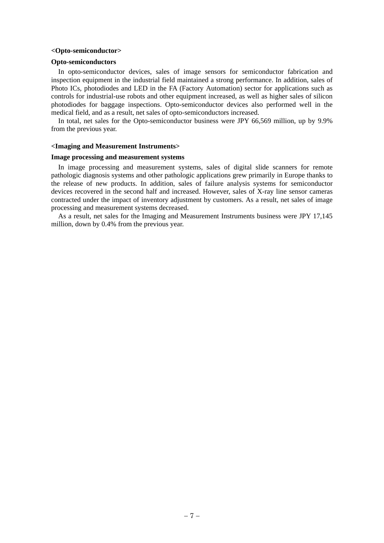#### **<Opto-semiconductor>**

#### **Opto-semiconductors**

In opto-semiconductor devices, sales of image sensors for semiconductor fabrication and inspection equipment in the industrial field maintained a strong performance. In addition, sales of Photo ICs, photodiodes and LED in the FA (Factory Automation) sector for applications such as controls for industrial-use robots and other equipment increased, as well as higher sales of silicon photodiodes for baggage inspections. Opto-semiconductor devices also performed well in the medical field, and as a result, net sales of opto-semiconductors increased.

In total, net sales for the Opto-semiconductor business were JPY 66,569 million, up by 9.9% from the previous year.

#### **<Imaging and Measurement Instruments>**

#### **Image processing and measurement systems**

In image processing and measurement systems, sales of digital slide scanners for remote pathologic diagnosis systems and other pathologic applications grew primarily in Europe thanks to the release of new products. In addition, sales of failure analysis systems for semiconductor devices recovered in the second half and increased. However, sales of X-ray line sensor cameras contracted under the impact of inventory adjustment by customers. As a result, net sales of image processing and measurement systems decreased.

As a result, net sales for the Imaging and Measurement Instruments business were JPY 17,145 million, down by 0.4% from the previous year.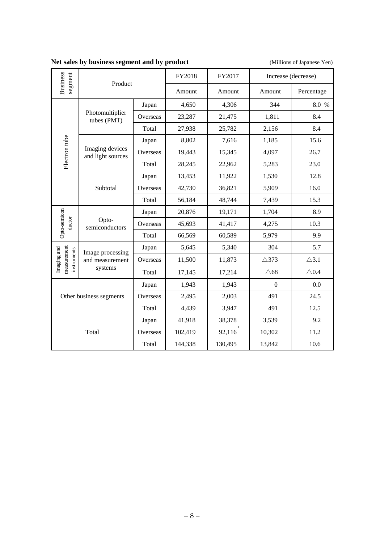|  | Net sales by business segment and by product |  |  |
|--|----------------------------------------------|--|--|
|  |                                              |  |  |

(Millions of Japanese Yen)

|                                           | Product                                        |          | FY2018  | FY2017  |                  | Increase (decrease) |
|-------------------------------------------|------------------------------------------------|----------|---------|---------|------------------|---------------------|
| <b>Business</b><br>segment                |                                                |          | Amount  | Amount  | Amount           | Percentage          |
|                                           |                                                | Japan    | 4,650   | 4,306   | 344              | 8.0 %               |
|                                           | Photomultiplier<br>tubes (PMT)                 | Overseas | 23,287  | 21,475  | 1,811            | 8.4                 |
|                                           |                                                | Total    | 27,938  | 25,782  | 2,156            | 8.4                 |
|                                           |                                                | Japan    | 8,802   | 7,616   | 1,185            | 15.6                |
| Electron tube                             | Imaging devices<br>and light sources           | Overseas | 19,443  | 15,345  | 4,097            | 26.7                |
|                                           |                                                | Total    | 28,245  | 22,962  | 5,283            | 23.0                |
|                                           |                                                | Japan    | 13,453  | 11,922  | 1,530            | 12.8                |
|                                           | Subtotal                                       | Overseas | 42,730  | 36,821  | 5,909            | 16.0                |
|                                           |                                                | Total    | 56,184  | 48,744  | 7,439            | 15.3                |
|                                           | Opto-<br>semiconductors                        | Japan    | 20,876  | 19,171  | 1,704            | 8.9                 |
| Opto-semicon<br>ductor                    |                                                | Overseas | 45,693  | 41,417  | 4,275            | 10.3                |
|                                           |                                                | Total    | 66,569  | 60,589  | 5,979            | 9.9                 |
|                                           | Image processing<br>and measurement<br>systems | Japan    | 5,645   | 5,340   | 304              | 5.7                 |
| neasurement<br>Imaging and<br>instruments |                                                | Overseas | 11,500  | 11,873  | $\triangle$ 373  | $\triangle$ 3.1     |
|                                           |                                                | Total    | 17,145  | 17,214  | $\triangle 68$   | $\triangle$ 0.4     |
|                                           |                                                | Japan    | 1,943   | 1,943   | $\boldsymbol{0}$ | 0.0                 |
|                                           | Other business segments                        | Overseas | 2,495   | 2,003   | 491              | 24.5                |
|                                           | Total                                          |          | 4,439   | 3,947   | 491              | 12.5                |
|                                           |                                                | Japan    | 41,918  | 38,378  | 3,539            | 9.2                 |
|                                           | Total                                          | Overseas | 102,419 | 92,116  | 10,302           | 11.2                |
|                                           |                                                | Total    | 144,338 | 130,495 | 13,842           | 10.6                |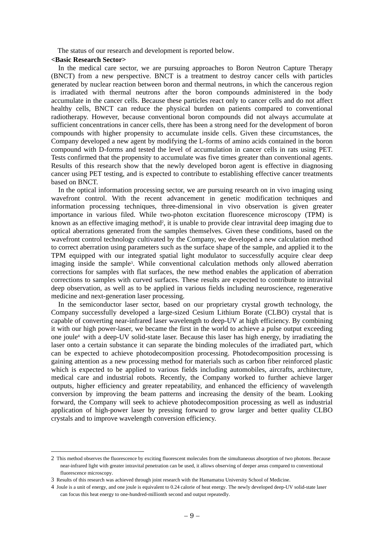The status of our research and development is reported below.

## **<Basic Research Sector>**

In the medical care sector, we are pursuing approaches to Boron Neutron Capture Therapy (BNCT) from a new perspective. BNCT is a treatment to destroy cancer cells with particles generated by nuclear reaction between boron and thermal neutrons, in which the cancerous region is irradiated with thermal neutrons after the boron compounds administered in the body accumulate in the cancer cells. Because these particles react only to cancer cells and do not affect healthy cells, BNCT can reduce the physical burden on patients compared to conventional radiotherapy. However, because conventional boron compounds did not always accumulate at sufficient concentrations in cancer cells, there has been a strong need for the development of boron compounds with higher propensity to accumulate inside cells. Given these circumstances, the Company developed a new agent by modifying the L-forms of amino acids contained in the boron compound with D-forms and tested the level of accumulation in cancer cells in rats using PET. Tests confirmed that the propensity to accumulate was five times greater than conventional agents. Results of this research show that the newly developed boron agent is effective in diagnosing cancer using PET testing, and is expected to contribute to establishing effective cancer treatments based on BNCT.

In the optical information processing sector, we are pursuing research on in vivo imaging using wavefront control. With the recent advancement in genetic modification techniques and information processing techniques, three-dimensional in vivo observation is given greater importance in various filed. While two-photon excitation fluorescence microscopy (TPM) is known as an effective imaging method<sup>2</sup>, it is unable to provide clear intravital deep imaging due to optical aberrations generated from the samples themselves. Given these conditions, based on the wavefront control technology cultivated by the Company, we developed a new calculation method to correct aberration using parameters such as the surface shape of the sample, and applied it to the TPM equipped with our integrated spatial light modulator to successfully acquire clear deep imaging inside the sample3. While conventional calculation methods only allowed aberration corrections for samples with flat surfaces, the new method enables the application of aberration corrections to samples with curved surfaces. These results are expected to contribute to intravital deep observation, as well as to be applied in various fields including neuroscience, regenerative medicine and next-generation laser processing.

In the semiconductor laser sector, based on our proprietary crystal growth technology, the Company successfully developed a large-sized Cesium Lithium Borate (CLBO) crystal that is capable of converting near-infrared laser wavelength to deep-UV at high efficiency. By combining it with our high power-laser, we became the first in the world to achieve a pulse output exceeding one joule4 with a deep-UV solid-state laser. Because this laser has high energy, by irradiating the laser onto a certain substance it can separate the binding molecules of the irradiated part, which can be expected to achieve photodecomposition processing. Photodecomposition processing is gaining attention as a new processing method for materials such as carbon fiber reinforced plastic which is expected to be applied to various fields including automobiles, aircrafts, architecture, medical care and industrial robots. Recently, the Company worked to further achieve larger outputs, higher efficiency and greater repeatability, and enhanced the efficiency of wavelength conversion by improving the beam patterns and increasing the density of the beam. Looking forward, the Company will seek to achieve photodecomposition processing as well as industrial application of high-power laser by pressing forward to grow larger and better quality CLBO crystals and to improve wavelength conversion efficiency.

<sup>2</sup> This method observes the fluorescence by exciting fluorescent molecules from the simultaneous absorption of two photons. Because near-infrared light with greater intravital penetration can be used, it allows observing of deeper areas compared to conventional fluorescence microscopy.

<sup>3</sup> Results of this research was achieved through joint research with the Hamamatsu University School of Medicine.

<sup>4</sup> Joule is a unit of energy, and one joule is equivalent to 0.24 calorie of heat energy. The newly developed deep-UV solid-state laser can focus this heat energy to one-hundred-millionth second and output repeatedly.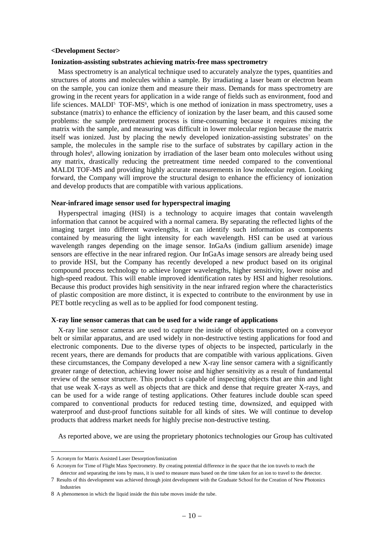#### **<Development Sector>**

#### **Ionization-assisting substrates achieving matrix-free mass spectrometry**

Mass spectrometry is an analytical technique used to accurately analyze the types, quantities and structures of atoms and molecules within a sample. By irradiating a laser beam or electron beam on the sample, you can ionize them and measure their mass. Demands for mass spectrometry are growing in the recent years for application in a wide range of fields such as environment, food and life sciences. MALDI<sup>5</sup> TOF-MS<sup> $6$ </sup>, which is one method of ionization in mass spectrometry, uses a substance (matrix) to enhance the efficiency of ionization by the laser beam, and this caused some problems: the sample pretreatment process is time-consuming because it requires mixing the matrix with the sample, and measuring was difficult in lower molecular region because the matrix itself was ionized. Just by placing the newly developed ionization-assisting substrates<sup>7</sup> on the sample, the molecules in the sample rise to the surface of substrates by capillary action in the through holes8, allowing ionization by irradiation of the laser beam onto molecules without using any matrix, drastically reducing the pretreatment time needed compared to the conventional MALDI TOF-MS and providing highly accurate measurements in low molecular region. Looking forward, the Company will improve the structural design to enhance the efficiency of ionization and develop products that are compatible with various applications.

#### **Near-infrared image sensor used for hyperspectral imaging**

Hyperspectral imaging (HSI) is a technology to acquire images that contain wavelength information that cannot be acquired with a normal camera. By separating the reflected lights of the imaging target into different wavelengths, it can identify such information as components contained by measuring the light intensity for each wavelength. HSI can be used at various wavelength ranges depending on the image sensor. InGaAs (indium gallium arsenide) image sensors are effective in the near infrared region. Our InGaAs image sensors are already being used to provide HSI, but the Company has recently developed a new product based on its original compound process technology to achieve longer wavelengths, higher sensitivity, lower noise and high-speed readout. This will enable improved identification rates by HSI and higher resolutions. Because this product provides high sensitivity in the near infrared region where the characteristics of plastic composition are more distinct, it is expected to contribute to the environment by use in PET bottle recycling as well as to be applied for food component testing.

#### **X-ray line sensor cameras that can be used for a wide range of applications**

X-ray line sensor cameras are used to capture the inside of objects transported on a conveyor belt or similar apparatus, and are used widely in non-destructive testing applications for food and electronic components. Due to the diverse types of objects to be inspected, particularly in the recent years, there are demands for products that are compatible with various applications. Given these circumstances, the Company developed a new X-ray line sensor camera with a significantly greater range of detection, achieving lower noise and higher sensitivity as a result of fundamental review of the sensor structure. This product is capable of inspecting objects that are thin and light that use weak X-rays as well as objects that are thick and dense that require greater X-rays, and can be used for a wide range of testing applications. Other features include double scan speed compared to conventional products for reduced testing time, downsized, and equipped with waterproof and dust-proof functions suitable for all kinds of sites. We will continue to develop products that address market needs for highly precise non-destructive testing.

As reported above, we are using the proprietary photonics technologies our Group has cultivated

<sup>5</sup> Acronym for Matrix Assisted Laser Desorption/Ionization

<sup>6</sup> Acronym for Time of Flight Mass Spectrometry. By creating potential difference in the space that the ion travels to reach the detector and separating the ions by mass, it is used to measure mass based on the time taken for an ion to travel to the detector.

<sup>7</sup> Results of this development was achieved through joint development with the Graduate School for the Creation of New Photonics Industries

<sup>8</sup> A phenomenon in which the liquid inside the thin tube moves inside the tube.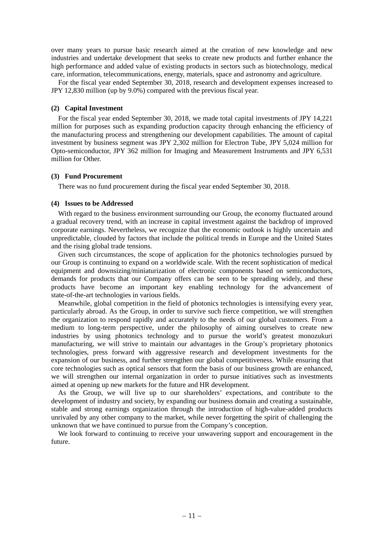over many years to pursue basic research aimed at the creation of new knowledge and new industries and undertake development that seeks to create new products and further enhance the high performance and added value of existing products in sectors such as biotechnology, medical care, information, telecommunications, energy, materials, space and astronomy and agriculture.

For the fiscal year ended September 30, 2018, research and development expenses increased to JPY 12,830 million (up by 9.0%) compared with the previous fiscal year.

### **(2) Capital Investment**

For the fiscal year ended September 30, 2018, we made total capital investments of JPY 14,221 million for purposes such as expanding production capacity through enhancing the efficiency of the manufacturing process and strengthening our development capabilities. The amount of capital investment by business segment was JPY 2,302 million for Electron Tube, JPY 5,024 million for Opto-semiconductor, JPY 362 million for Imaging and Measurement Instruments and JPY 6,531 million for Other.

### **(3) Fund Procurement**

There was no fund procurement during the fiscal year ended September 30, 2018.

### **(4) Issues to be Addressed**

With regard to the business environment surrounding our Group, the economy fluctuated around a gradual recovery trend, with an increase in capital investment against the backdrop of improved corporate earnings. Nevertheless, we recognize that the economic outlook is highly uncertain and unpredictable, clouded by factors that include the political trends in Europe and the United States and the rising global trade tensions.

Given such circumstances, the scope of application for the photonics technologies pursued by our Group is continuing to expand on a worldwide scale. With the recent sophistication of medical equipment and downsizing/miniaturization of electronic components based on semiconductors, demands for products that our Company offers can be seen to be spreading widely, and these products have become an important key enabling technology for the advancement of state-of-the-art technologies in various fields.

Meanwhile, global competition in the field of photonics technologies is intensifying every year, particularly abroad. As the Group, in order to survive such fierce competition, we will strengthen the organization to respond rapidly and accurately to the needs of our global customers. From a medium to long-term perspective, under the philosophy of aiming ourselves to create new industries by using photonics technology and to pursue the world's greatest monozukuri manufacturing, we will strive to maintain our advantages in the Group's proprietary photonics technologies, press forward with aggressive research and development investments for the expansion of our business, and further strengthen our global competitiveness. While ensuring that core technologies such as optical sensors that form the basis of our business growth are enhanced, we will strengthen our internal organization in order to pursue initiatives such as investments aimed at opening up new markets for the future and HR development.

As the Group, we will live up to our shareholders' expectations, and contribute to the development of industry and society, by expanding our business domain and creating a sustainable, stable and strong earnings organization through the introduction of high-value-added products unrivaled by any other company to the market, while never forgetting the spirit of challenging the unknown that we have continued to pursue from the Company's conception.

We look forward to continuing to receive your unwavering support and encouragement in the future.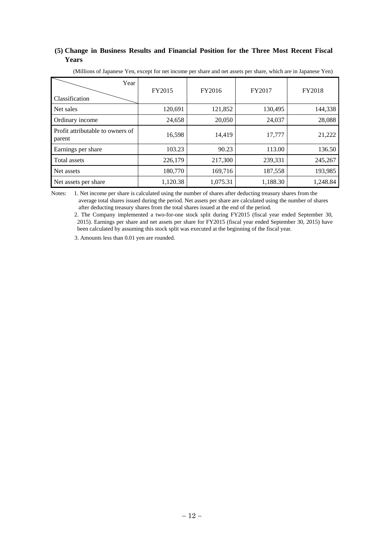## **(5) Change in Business Results and Financial Position for the Three Most Recent Fiscal Years**

| (Millions of Japanese Yen, except for net income per share and net assets per share, which are in Japanese Yen) |  |  |
|-----------------------------------------------------------------------------------------------------------------|--|--|
| r ear                                                                                                           |  |  |

| 1 vui                                      | FY2015   | FY2016   | FY2017   | FY2018   |
|--------------------------------------------|----------|----------|----------|----------|
| Classification                             |          |          |          |          |
| Net sales                                  | 120,691  | 121,852  | 130,495  | 144,338  |
| Ordinary income                            | 24,658   | 20,050   | 24,037   | 28,088   |
| Profit attributable to owners of<br>parent | 16,598   | 14,419   | 17,777   | 21,222   |
| Earnings per share                         | 103.23   | 90.23    | 113.00   | 136.50   |
| Total assets                               | 226,179  | 217,300  | 239,331  | 245,267  |
| Net assets                                 | 180,770  | 169,716  | 187,558  | 193,985  |
| Net assets per share                       | 1,120.38 | 1,075.31 | 1,188.30 | 1,248.84 |

Notes: 1. Net income per share is calculated using the number of shares after deducting treasury shares from the average total shares issued during the period. Net assets per share are calculated using the number of shares after deducting treasury shares from the total shares issued at the end of the period.

2. The Company implemented a two-for-one stock split during FY2015 (fiscal year ended September 30, 2015). Earnings per share and net assets per share for FY2015 (fiscal year ended September 30, 2015) have been calculated by assuming this stock split was executed at the beginning of the fiscal year.

3. Amounts less than 0.01 yen are rounded.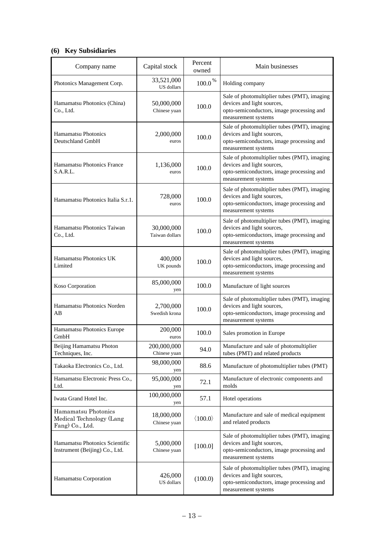# **(6) Key Subsidiaries**

| Company name                                                       | Capital stock                | Percent<br>owned        | Main businesses                                                                                                                                |
|--------------------------------------------------------------------|------------------------------|-------------------------|------------------------------------------------------------------------------------------------------------------------------------------------|
| Photonics Management Corp.                                         | 33,521,000<br>US dollars     | $100.0\,^{\%}$          | Holding company                                                                                                                                |
| Hamamatsu Photonics (China)<br>Co., Ltd.                           | 50,000,000<br>Chinese yuan   | 100.0                   | Sale of photomultiplier tubes (PMT), imaging<br>devices and light sources,<br>opto-semiconductors, image processing and<br>measurement systems |
| Hamamatsu Photonics<br>Deutschland GmbH                            | 2,000,000<br>euros           | 100.0                   | Sale of photomultiplier tubes (PMT), imaging<br>devices and light sources,<br>opto-semiconductors, image processing and<br>measurement systems |
| Hamamatsu Photonics France<br>S.A.R.L.                             | 1,136,000<br>euros           | 100.0                   | Sale of photomultiplier tubes (PMT), imaging<br>devices and light sources,<br>opto-semiconductors, image processing and<br>measurement systems |
| Hamamatsu Photonics Italia S.r.1.                                  | 728,000<br>euros             | 100.0                   | Sale of photomultiplier tubes (PMT), imaging<br>devices and light sources,<br>opto-semiconductors, image processing and<br>measurement systems |
| Hamamatsu Photonics Taiwan<br>Co., Ltd.                            | 30,000,000<br>Taiwan dollars | 100.0                   | Sale of photomultiplier tubes (PMT), imaging<br>devices and light sources,<br>opto-semiconductors, image processing and<br>measurement systems |
| Hamamatsu Photonics UK<br>Limited                                  | 400,000<br>UK pounds         | 100.0                   | Sale of photomultiplier tubes (PMT), imaging<br>devices and light sources,<br>opto-semiconductors, image processing and<br>measurement systems |
| Koso Corporation                                                   | 85,000,000<br>yen            | 100.0                   | Manufacture of light sources                                                                                                                   |
| Hamamatsu Photonics Norden<br>AB                                   | 2,700,000<br>Swedish krona   | 100.0                   | Sale of photomultiplier tubes (PMT), imaging<br>devices and light sources,<br>opto-semiconductors, image processing and<br>measurement systems |
| Hamamatsu Photonics Europe<br>GmbH                                 | 200,000<br>euros             | 100.0                   | Sales promotion in Europe                                                                                                                      |
| Beijing Hamamatsu Photon<br>Techniques, Inc.                       | 200,000,000<br>Chinese yuan  | 94.0                    | Manufacture and sale of photomultiplier<br>tubes (PMT) and related products                                                                    |
| Takaoka Electronics Co., Ltd.                                      | 98,000,000<br>yen            | 88.6                    | Manufacture of photomultiplier tubes (PMT)                                                                                                     |
| Hamamatsu Electronic Press Co.,<br>Ltd.                            | 95,000,000<br>yen            | 72.1                    | Manufacture of electronic components and<br>molds                                                                                              |
| Iwata Grand Hotel Inc.                                             | 100,000,000<br>yen           | 57.1                    | Hotel operations                                                                                                                               |
| Hamamatsu Photonics<br>Medical Technology (Lang<br>Fang) Co., Ltd. | 18,000,000<br>Chinese yuan   | $\langle 100.0 \rangle$ | Manufacture and sale of medical equipment<br>and related products                                                                              |
| Hamamatsu Photonics Scientific<br>Instrument (Beijing) Co., Ltd.   | 5,000,000<br>Chinese yuan    | [100.0]                 | Sale of photomultiplier tubes (PMT), imaging<br>devices and light sources,<br>opto-semiconductors, image processing and<br>measurement systems |
| Hamamatsu Corporation                                              | 426,000<br>US dollars        | (100.0)                 | Sale of photomultiplier tubes (PMT), imaging<br>devices and light sources,<br>opto-semiconductors, image processing and<br>measurement systems |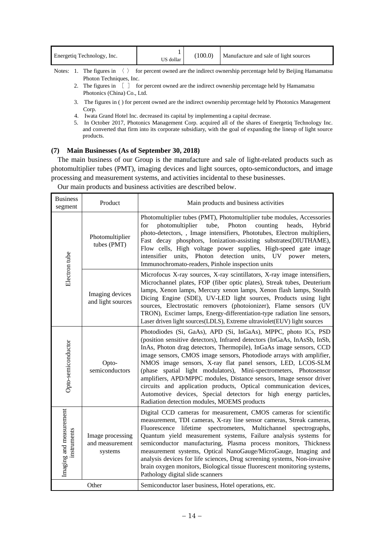| 100.0<br>Energetiq Technology, Inc.<br>US dollar |  |  |  | Manufacture and sale of light sources |  |
|--------------------------------------------------|--|--|--|---------------------------------------|--|
|--------------------------------------------------|--|--|--|---------------------------------------|--|

Notes: 1. The figures in  $\langle \rangle$  for percent owned are the indirect ownership percentage held by Beijing Hamamatsu Photon Techniques, Inc.

- 2. The figures in  $\begin{bmatrix} 1 \end{bmatrix}$  for percent owned are the indirect ownership percentage held by Hamamatsu Photonics (China) Co., Ltd.
- 3. The figures in ( ) for percent owned are the indirect ownership percentage held by Photonics Management Corp.
- 4. Iwata Grand Hotel Inc. decreased its capital by implementing a capital decrease.
- 5. In October 2017, Photonics Management Corp. acquired all of the shares of Energetiq Technology Inc. and converted that firm into its corporate subsidiary, with the goal of expanding the lineup of light source products.

## **(7) Main Businesses (As of September 30, 2018)**

The main business of our Group is the manufacture and sale of light-related products such as photomultiplier tubes (PMT), imaging devices and light sources, opto-semiconductors, and image processing and measurement systems, and activities incidental to these businesses.

Our main products and business activities are described below.

| <b>Business</b><br>Product<br>segment  |                                                | Main products and business activities                                                                                                                                                                                                                                                                                                                                                                                                                                                                                                                                                                                                                                                         |
|----------------------------------------|------------------------------------------------|-----------------------------------------------------------------------------------------------------------------------------------------------------------------------------------------------------------------------------------------------------------------------------------------------------------------------------------------------------------------------------------------------------------------------------------------------------------------------------------------------------------------------------------------------------------------------------------------------------------------------------------------------------------------------------------------------|
| Electron tube                          | Photomultiplier<br>tubes (PMT)                 | Photomultiplier tubes (PMT), Photomultiplier tube modules, Accessories<br>photomultiplier<br>tube,<br>Photon<br>for<br>counting<br>heads,<br>Hybrid<br>photo-detectors,, Image intensifiers, Phototubes, Electron multipliers,<br>Fast decay phosphors, Ionization-assisting substrates(DIUTHAME),<br>Flow cells, High voltage power supplies, High-speed gate image<br>intensifier units, Photon detection units, UV power<br>meters.<br>Immunochromato-readers, Pinhole inspection units                                                                                                                                                                                                    |
|                                        | Imaging devices<br>and light sources           | Microfocus X-ray sources, X-ray scintillators, X-ray image intensifiers,<br>Microchannel plates, FOP (fiber optic plates), Streak tubes, Deuterium<br>lamps, Xenon lamps, Mercury xenon lamps, Xenon flash lamps, Stealth<br>Dicing Engine (SDE), UV-LED light sources, Products using light<br>sources, Electrostatic removers (photoionizer), Flame sensors (UV<br>TRON), Excimer lamps, Energy-differentiation-type radiation line sensors,<br>Laser driven light sources(LDLS), Extreme ultraviolet(EUV) light sources                                                                                                                                                                    |
| Opto-semiconductor                     | Opto-<br>semiconductors                        | Photodiodes (Si, GaAs), APD (Si, InGaAs), MPPC, photo ICs, PSD<br>(position sensitive detectors), Infrared detectors (InGaAs, InAsSb, InSb,<br>InAs, Photon drag detectors, Thermopile), InGaAs image sensors, CCD<br>image sensors, CMOS image sensors, Photodiode arrays with amplifier,<br>NMOS image sensors, X-ray flat panel sensors, LED, LCOS-SLM<br>(phase spatial light modulators), Mini-spectrometers, Photosensor<br>amplifiers, APD/MPPC modules, Distance sensors, Image sensor driver<br>circuits and application products, Optical communication devices,<br>Automotive devices, Special detectors for high energy particles,<br>Radiation detection modules, MOEMS products |
| Imaging and measurement<br>instruments | Image processing<br>and measurement<br>systems | Digital CCD cameras for measurement, CMOS cameras for scientific<br>measurement, TDI cameras, X-ray line sensor cameras, Streak cameras,<br>Fluorescence lifetime<br>spectrometers, Multichannel spectrographs,<br>Quantum yield measurement systems, Failure analysis systems for<br>semiconductor manufacturing, Plasma process monitors, Thickness<br>measurement systems, Optical NanoGauge/MicroGauge, Imaging and<br>analysis devices for life sciences, Drug screening systems, Non-invasive<br>brain oxygen monitors, Biological tissue fluorescent monitoring systems,<br>Pathology digital slide scanners                                                                           |
| Other                                  |                                                | Semiconductor laser business, Hotel operations, etc.                                                                                                                                                                                                                                                                                                                                                                                                                                                                                                                                                                                                                                          |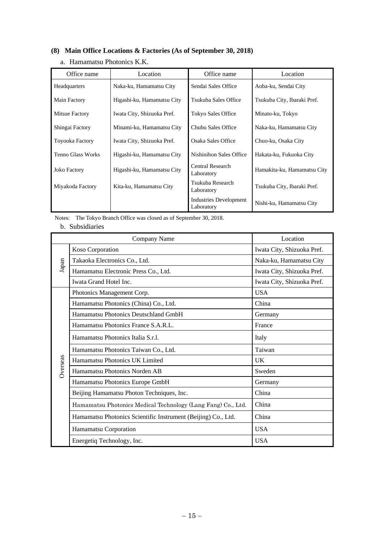# **(8) Main Office Locations & Factories (As of September 30, 2018)**

|  | a. Hamamatsu Photonics K.K. |  |  |
|--|-----------------------------|--|--|
|--|-----------------------------|--|--|

| Office name              | Location                   | Office name                                 | Location                    |
|--------------------------|----------------------------|---------------------------------------------|-----------------------------|
| Headquarters             | Naka-ku, Hamamatsu City    | Sendai Sales Office                         | Aoba-ku, Sendai City        |
| Main Factory             | Higashi-ku, Hamamatsu City | Tsukuba Sales Office                        | Tsukuba City, Ibaraki Pref. |
| Mitsue Factory           | Iwata City, Shizuoka Pref. | Tokyo Sales Office                          | Minato-ku, Tokyo            |
| Shingai Factory          | Minami-ku, Hamamatsu City  | Chubu Sales Office                          | Naka-ku, Hamamatsu City     |
| <b>Toyooka Factory</b>   | Iwata City, Shizuoka Pref. | Osaka Sales Office                          | Chuo-ku, Osaka City         |
| <b>Tenno Glass Works</b> | Higashi-ku, Hamamatsu City | Nishinihon Sales Office                     | Hakata-ku, Fukuoka City     |
| <b>Joko Factory</b>      | Higashi-ku, Hamamatsu City | Central Research<br>Laboratory              | Hamakita-ku, Hamamatsu City |
| Miyakoda Factory         | Kita-ku, Hamamatsu City    | Tsukuba Research<br>Laboratory              | Tsukuba City, Ibaraki Pref. |
|                          |                            | <b>Industries Development</b><br>Laboratory | Nishi-ku, Hamamatsu City    |

Notes: The Tokyo Branch Office was closed as of September 30, 2018.

# b. Subsidiaries

|          | Company Name                                                  | Location                   |
|----------|---------------------------------------------------------------|----------------------------|
| Japan    | Koso Corporation                                              | Iwata City, Shizuoka Pref. |
|          | Takaoka Electronics Co., Ltd.                                 | Naka-ku, Hamamatsu City    |
|          | Hamamatsu Electronic Press Co., Ltd.                          | Iwata City, Shizuoka Pref. |
|          | Iwata Grand Hotel Inc.                                        | Iwata City, Shizuoka Pref. |
|          | Photonics Management Corp.                                    | <b>USA</b>                 |
|          | Hamamatsu Photonics (China) Co., Ltd.                         | China                      |
|          | Hamamatsu Photonics Deutschland GmbH                          | Germany                    |
|          | Hamamatsu Photonics France S.A.R.L.                           | France                     |
|          | Hamamatsu Photonics Italia S.r.l.                             | Italy                      |
|          | Hamamatsu Photonics Taiwan Co., Ltd.                          | Taiwan                     |
| Overseas | Hamamatsu Photonics UK Limited                                | <b>UK</b>                  |
|          | Hamamatsu Photonics Norden AB                                 | Sweden                     |
|          | Hamamatsu Photonics Europe GmbH                               | Germany                    |
|          | Beijing Hamamatsu Photon Techniques, Inc.                     | China                      |
|          | Hamamatsu Photonics Medical Technology (Lang Fang) Co., Ltd.  | China                      |
|          | Hamamatsu Photonics Scientific Instrument (Beijing) Co., Ltd. | China                      |
|          | Hamamatsu Corporation                                         | <b>USA</b>                 |
|          | Energetiq Technology, Inc.                                    | <b>USA</b>                 |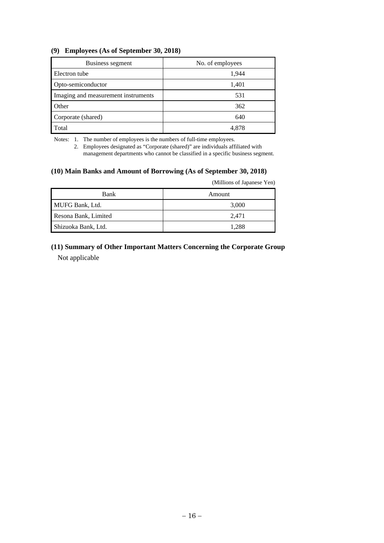## **(9) Employees (As of September 30, 2018)**

| Business segment                    | No. of employees |
|-------------------------------------|------------------|
| Electron tube                       | 1,944            |
| Opto-semiconductor                  | 1,401            |
| Imaging and measurement instruments | 531              |
| Other                               | 362              |
| Corporate (shared)                  | 640              |
| Total                               | 4.878            |

Notes: 1. The number of employees is the numbers of full-time employees.

 2. Employees designated as "Corporate (shared)" are individuals affiliated with management departments who cannot be classified in a specific business segment.

## **(10) Main Banks and Amount of Borrowing (As of September 30, 2018)**

(Millions of Japanese Yen)

| Bank                 | Amount |
|----------------------|--------|
| MUFG Bank, Ltd.      | 3,000  |
| Resona Bank, Limited | 2.471  |
| Shizuoka Bank, Ltd.  | 1.288  |

# **(11) Summary of Other Important Matters Concerning the Corporate Group**  Not applicable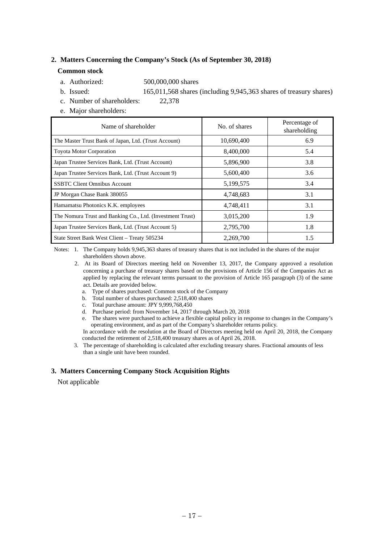## **2. Matters Concerning the Company's Stock (As of September 30, 2018)**

### **Common stock**

- a. Authorized: 500,000,000 shares
- b. Issued: 165,011,568 shares (including 9,945,363 shares of treasury shares)
- c. Number of shareholders: 22,378
- e. Major shareholders:

| Name of shareholder                                       | No. of shares | Percentage of<br>shareholding |
|-----------------------------------------------------------|---------------|-------------------------------|
| The Master Trust Bank of Japan, Ltd. (Trust Account)      | 10,690,400    | 6.9                           |
| <b>Toyota Motor Corporation</b>                           | 8,400,000     | 5.4                           |
| Japan Trustee Services Bank, Ltd. (Trust Account)         | 5,896,900     | 3.8                           |
| Japan Trustee Services Bank, Ltd. (Trust Account 9)       | 5,600,400     | 3.6                           |
| <b>SSBTC Client Omnibus Account</b>                       | 5,199,575     | 3.4                           |
| JP Morgan Chase Bank 380055                               | 4,748,683     | 3.1                           |
| Hamamatsu Photonics K.K. employees                        | 4,748,411     | 3.1                           |
| The Nomura Trust and Banking Co., Ltd. (Investment Trust) | 3,015,200     | 1.9                           |
| Japan Trustee Services Bank, Ltd. (Trust Account 5)       | 2,795,700     | 1.8                           |
| State Street Bank West Client - Treaty 505234             | 2,269,700     | 1.5                           |

 Notes: 1. The Company holds 9,945,363 shares of treasury shares that is not included in the shares of the major shareholders shown above.

- 2. At its Board of Directors meeting held on November 13, 2017, the Company approved a resolution concerning a purchase of treasury shares based on the provisions of Article 156 of the Companies Act as applied by replacing the relevant terms pursuant to the provision of Article 165 paragraph (3) of the same act. Details are provided below.
	- a. Type of shares purchased: Common stock of the Company
	- b. Total number of shares purchased: 2,518,400 shares
	- c. Total purchase amount: JPY 9,999,768,450
	- d. Purchase period: from November 14, 2017 through March 20, 2018
	- e. The shares were purchased to achieve a flexible capital policy in response to changes in the Company's operating environment, and as part of the Company's shareholder returns policy.

In accordance with the resolution at the Board of Directors meeting held on April 20, 2018, the Company conducted the retirement of 2,518,400 treasury shares as of April 26, 2018.

 3. The percentage of shareholding is calculated after excluding treasury shares. Fractional amounts of less than a single unit have been rounded.

## **3. Matters Concerning Company Stock Acquisition Rights**

Not applicable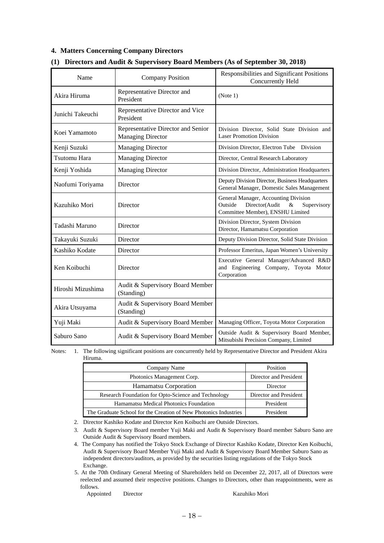## **4. Matters Concerning Company Directors**

| Name                | <b>Company Position</b>                                        | Responsibilities and Significant Positions<br>Concurrently Held                                                              |
|---------------------|----------------------------------------------------------------|------------------------------------------------------------------------------------------------------------------------------|
| Akira Hiruma        | Representative Director and<br>President                       | (Note 1)                                                                                                                     |
| Junichi Takeuchi    | Representative Director and Vice<br>President                  |                                                                                                                              |
| Koei Yamamoto       | Representative Director and Senior<br><b>Managing Director</b> | Division Director, Solid State Division and<br><b>Laser Promotion Division</b>                                               |
| Kenji Suzuki        | <b>Managing Director</b>                                       | Division Director, Electron Tube Division                                                                                    |
| <b>Tsutomu Hara</b> | <b>Managing Director</b>                                       | Director, Central Research Laboratory                                                                                        |
| Kenji Yoshida       | <b>Managing Director</b>                                       | Division Director, Administration Headquarters                                                                               |
| Naofumi Toriyama    | Director                                                       | Deputy Division Director, Business Headquarters<br>General Manager, Domestic Sales Management                                |
| Kazuhiko Mori       | Director                                                       | General Manager, Accounting Division<br>Outside<br>Director(Audit<br>$\&$<br>Supervisory<br>Committee Member), ENSHU Limited |
| Tadashi Maruno      | Director                                                       | Division Director, System Division<br>Director, Hamamatsu Corporation                                                        |
| Takayuki Suzuki     | Director                                                       | Deputy Division Director, Solid State Division                                                                               |
| Kashiko Kodate      | Director                                                       | Professor Emeritus, Japan Women's University                                                                                 |
| Ken Koibuchi        | Director                                                       | Executive General Manager/Advanced R&D<br>and Engineering Company, Toyota Motor<br>Corporation                               |
| Hiroshi Mizushima   | Audit & Supervisory Board Member<br>(Standing)                 |                                                                                                                              |
| Akira Utsuyama      | Audit & Supervisory Board Member<br>(Standing)                 |                                                                                                                              |
| Yuji Maki           | Audit & Supervisory Board Member                               | Managing Officer, Toyota Motor Corporation                                                                                   |
| Saburo Sano         | Audit & Supervisory Board Member                               | Outside Audit & Supervisory Board Member,<br>Mitsubishi Precision Company, Limited                                           |

## **(1) Directors and Audit & Supervisory Board Members (As of September 30, 2018)**

Notes: 1. The following significant positions are concurrently held by Representative Director and President Akira Hiruma.

| Company Name                                                     | Position               |
|------------------------------------------------------------------|------------------------|
| Photonics Management Corp.                                       | Director and President |
| Hamamatsu Corporation                                            | Director               |
| Research Foundation for Opto-Science and Technology              | Director and President |
| Hamamatsu Medical Photonics Foundation                           | President              |
| The Graduate School for the Creation of New Photonics Industries | President              |

2. Director Kashiko Kodate and Director Ken Koibuchi are Outside Directors.

 4. The Company has notified the Tokyo Stock Exchange of Director Kashiko Kodate, Director Ken Koibuchi, Audit & Supervisory Board Member Yuji Maki and Audit & Supervisory Board Member Saburo Sano as independent directors/auditors, as provided by the securities listing regulations of the Tokyo Stock Exchange.

5. At the 70th Ordinary General Meeting of Shareholders held on December 22, 2017, all of Directors were reelected and assumed their respective positions. Changes to Directors, other than reappointments, were as follows.

Appointed Director Kazuhiko Mori

 <sup>3.</sup> Audit & Supervisory Board member Yuji Maki and Audit & Supervisory Board member Saburo Sano are Outside Audit & Supervisory Board members.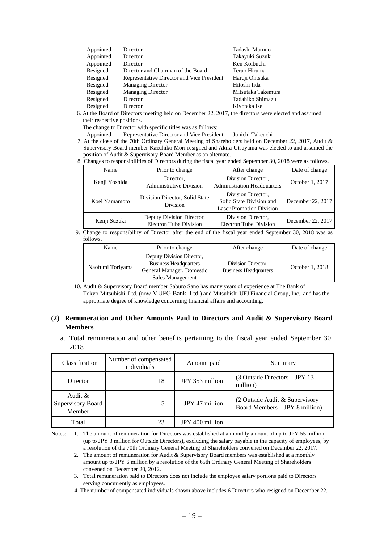| Appointed | Director                                   | Tadashi Maruno     |
|-----------|--------------------------------------------|--------------------|
| Appointed | Director                                   | Takayuki Suzuki    |
| Appointed | Director                                   | Ken Koibuchi       |
| Resigned  | Director and Chairman of the Board         | Teruo Hiruma       |
| Resigned  | Representative Director and Vice President | Haruji Ohtsuka     |
| Resigned  | <b>Managing Director</b>                   | Hitoshi Iida       |
| Resigned  | <b>Managing Director</b>                   | Mitsutaka Takemura |
| Resigned  | Director                                   | Tadahiko Shimazu   |
| Resigned  | Director                                   | Kiyotaka Ise       |
|           |                                            |                    |

6. At the Board of Directors meeting held on December 22, 2017, the directors were elected and assumed their respective positions.

The change to Director with specific titles was as follows:

Appointed Representative Director and Vice President Junichi Takeuchi

7. At the close of the 70th Ordinary General Meeting of Shareholders held on December 22, 2017, Audit & Supervisory Board member Kazuhiko Mori resigned and Akira Utsuyama was elected to and assumed the position of Audit & Supervisory Board Member as an alternate.

8. Changes to responsibilities of Directors during the fiscal year ended September 30, 2018 were as follows.

| Name          | Prior to change                                            | After change                                                                      | Date of change    |
|---------------|------------------------------------------------------------|-----------------------------------------------------------------------------------|-------------------|
| Kenji Yoshida | Director,<br><b>Administrative Division</b>                | Division Director,<br><b>Administration Headquarters</b>                          | October 1, 2017   |
| Koei Yamamoto | Division Director, Solid State<br>Division                 | Division Director,<br>Solid State Division and<br><b>Laser Promotion Division</b> | December 22, 2017 |
| Kenji Suzuki  | Deputy Division Director,<br><b>Electron Tube Division</b> | Division Director,<br><b>Electron Tube Division</b>                               | December 22, 2017 |

9. Change to responsibility of Director after the end of the fiscal year ended September 30, 2018 was as follows.

| Name             | Prior to change                                                                                            | After change                                       | Date of change  |
|------------------|------------------------------------------------------------------------------------------------------------|----------------------------------------------------|-----------------|
| Naofumi Toriyama | Deputy Division Director,<br><b>Business Headquarters</b><br>General Manager, Domestic<br>Sales Management | Division Director,<br><b>Business Headquarters</b> | October 1, 2018 |

 10. Audit & Supervisory Board member Saburo Sano has many years of experience at The Bank of Tokyo-Mitsubishi, Ltd. (now MUFG Bank, Ltd.) and Mitsubishi UFJ Financial Group, Inc., and has the appropriate degree of knowledge concerning financial affairs and accounting.

## **(2) Remuneration and Other Amounts Paid to Directors and Audit & Supervisory Board Members**

a. Total remuneration and other benefits pertaining to the fiscal year ended September 30, 2018

| Classification                            | Number of compensated<br>individuals | Amount paid     | Summary                                                        |
|-------------------------------------------|--------------------------------------|-----------------|----------------------------------------------------------------|
| Director                                  | 18                                   | JPY 353 million | (3 Outside Directors JPY 13)<br>million)                       |
| Audit $\&$<br>Supervisory Board<br>Member | 5                                    | JPY 47 million  | (2 Outside Audit & Supervisory<br>Board Members JPY 8 million) |
| Total                                     | 23                                   | JPY 400 million |                                                                |

Notes: 1. The amount of remuneration for Directors was established at a monthly amount of up to JPY 55 million (up to JPY 3 million for Outside Directors), excluding the salary payable in the capacity of employees, by a resolution of the 70th Ordinary General Meeting of Shareholders convened on December 22, 2017.

 2. The amount of remuneration for Audit & Supervisory Board members was established at a monthly amount up to JPY 6 million by a resolution of the 65th Ordinary General Meeting of Shareholders convened on December 20, 2012.

 3. Total remuneration paid to Directors does not include the employee salary portions paid to Directors serving concurrently as employees.

4. The number of compensated individuals shown above includes 6 Directors who resigned on December 22,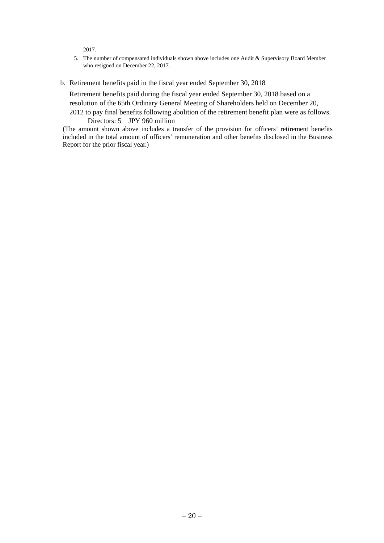2017.

- 5. The number of compensated individuals shown above includes one Audit & Supervisory Board Member who resigned on December 22, 2017.
- b. Retirement benefits paid in the fiscal year ended September 30, 2018

Retirement benefits paid during the fiscal year ended September 30, 2018 based on a resolution of the 65th Ordinary General Meeting of Shareholders held on December 20, 2012 to pay final benefits following abolition of the retirement benefit plan were as follows.

Directors: 5 JPY 960 million

(The amount shown above includes a transfer of the provision for officers' retirement benefits included in the total amount of officers' remuneration and other benefits disclosed in the Business Report for the prior fiscal year.)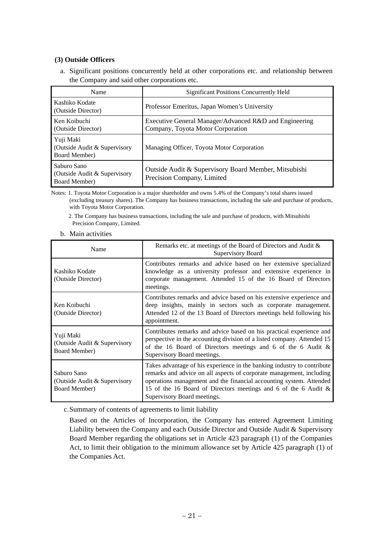# **(3) Outside Officers**

a. Significant positions concurrently held at other corporations etc. and relationship between the Company and said other corporations etc.

| Name                                                                 | <b>Significant Positions Concurrently Held</b>                                              |
|----------------------------------------------------------------------|---------------------------------------------------------------------------------------------|
| Kashiko Kodate<br>(Outside Director)                                 | Professor Emeritus, Japan Women's University                                                |
| Ken Koibuchi<br>(Outside Director)                                   | Executive General Manager/Advanced R&D and Engineering<br>Company, Toyota Motor Corporation |
| Yuji Maki<br>(Outside Audit & Supervisory<br><b>Board Member</b> )   | Managing Officer, Toyota Motor Corporation                                                  |
| Saburo Sano<br>(Outside Audit & Supervisory<br><b>Board Member</b> ) | Outside Audit & Supervisory Board Member, Mitsubishi<br>Precision Company, Limited          |

Notes: 1. Toyota Motor Corporation is a major shareholder and owns 5.4% of the Company's total shares issued (excluding treasury shares). The Company has business transactions, including the sale and purchase of products, with Toyota Motor Corporation.

 2. The Company has business transactions, including the sale and purchase of products, with Mitsubishi Precision Company, Limited.

b. Main activities

| Name                                                          | Remarks etc. at meetings of the Board of Directors and Audit &<br>Supervisory Board                                                                                                                                                                                                                                      |
|---------------------------------------------------------------|--------------------------------------------------------------------------------------------------------------------------------------------------------------------------------------------------------------------------------------------------------------------------------------------------------------------------|
| Kashiko Kodate<br>(Outside Director)                          | Contributes remarks and advice based on her extensive specialized<br>knowledge as a university professor and extensive experience in<br>corporate management. Attended 15 of the 16 Board of Directors<br>meetings.                                                                                                      |
| Ken Koibuchi<br>(Outside Director)                            | Contributes remarks and advice based on his extensive experience and<br>deep insights, mainly in sectors such as corporate management.<br>Attended 12 of the 13 Board of Directors meetings held following his<br>appointment.                                                                                           |
| Yuji Maki<br>(Outside Audit & Supervisory)<br>Board Member)   | Contributes remarks and advice based on his practical experience and<br>perspective in the accounting division of a listed company. Attended 15<br>of the 16 Board of Directors meetings and 6 of the 6 Audit $\&$<br>Supervisory Board meetings.                                                                        |
| Saburo Sano<br>(Outside Audit & Supervisory)<br>Board Member) | Takes advantage of his experience in the banking industry to contribute<br>remarks and advice on all aspects of corporate management, including<br>operations management and the financial accounting system. Attended<br>15 of the 16 Board of Directors meetings and 6 of the 6 Audit &<br>Supervisory Board meetings. |

c. Summary of contents of agreements to limit liability

Based on the Articles of Incorporation, the Company has entered Agreement Limiting Liability between the Company and each Outside Director and Outside Audit & Supervisory Board Member regarding the obligations set in Article 423 paragraph (1) of the Companies Act, to limit their obligation to the minimum allowance set by Article 425 paragraph (1) of the Companies Act.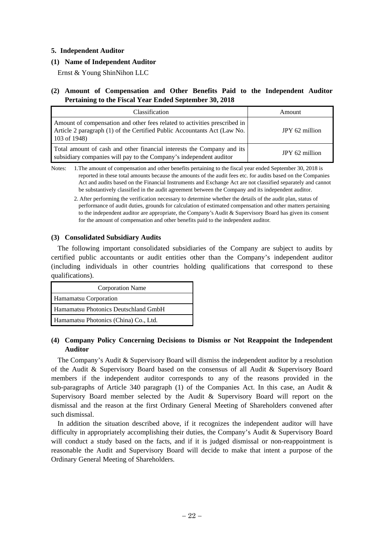## **5. Independent Auditor**

## **(1) Name of Independent Auditor**

Ernst & Young ShinNihon LLC

# **(2) Amount of Compensation and Other Benefits Paid to the Independent Auditor Pertaining to the Fiscal Year Ended September 30, 2018**

| Classification                                                                                                                                                          | Amount         |
|-------------------------------------------------------------------------------------------------------------------------------------------------------------------------|----------------|
| Amount of compensation and other fees related to activities prescribed in<br>Article 2 paragraph (1) of the Certified Public Accountants Act (Law No.<br>$103$ of 1948) | JPY 62 million |
| Total amount of cash and other financial interests the Company and its<br>subsidiary companies will pay to the Company's independent auditor                            | JPY 62 million |

Notes: 1.The amount of compensation and other benefits pertaining to the fiscal year ended September 30, 2018 is reported in these total amounts because the amounts of the audit fees etc. for audits based on the Companies Act and audits based on the Financial Instruments and Exchange Act are not classified separately and cannot be substantively classified in the audit agreement between the Company and its independent auditor.

 2. After performing the verification necessary to determine whether the details of the audit plan, status of performance of audit duties, grounds for calculation of estimated compensation and other matters pertaining to the independent auditor are appropriate, the Company's Audit  $\&$  Supervisory Board has given its consent for the amount of compensation and other benefits paid to the independent auditor.

## **(3) Consolidated Subsidiary Audits**

The following important consolidated subsidiaries of the Company are subject to audits by certified public accountants or audit entities other than the Company's independent auditor (including individuals in other countries holding qualifications that correspond to these qualifications).

| <b>Corporation Name</b>               |  |  |
|---------------------------------------|--|--|
| Hamamatsu Corporation                 |  |  |
| Hamamatsu Photonics Deutschland GmbH  |  |  |
| Hamamatsu Photonics (China) Co., Ltd. |  |  |

# **(4) Company Policy Concerning Decisions to Dismiss or Not Reappoint the Independent Auditor**

The Company's Audit & Supervisory Board will dismiss the independent auditor by a resolution of the Audit & Supervisory Board based on the consensus of all Audit & Supervisory Board members if the independent auditor corresponds to any of the reasons provided in the sub-paragraphs of Article 340 paragraph (1) of the Companies Act. In this case, an Audit  $\&$ Supervisory Board member selected by the Audit & Supervisory Board will report on the dismissal and the reason at the first Ordinary General Meeting of Shareholders convened after such dismissal.

In addition the situation described above, if it recognizes the independent auditor will have difficulty in appropriately accomplishing their duties, the Company's Audit & Supervisory Board will conduct a study based on the facts, and if it is judged dismissal or non-reappointment is reasonable the Audit and Supervisory Board will decide to make that intent a purpose of the Ordinary General Meeting of Shareholders.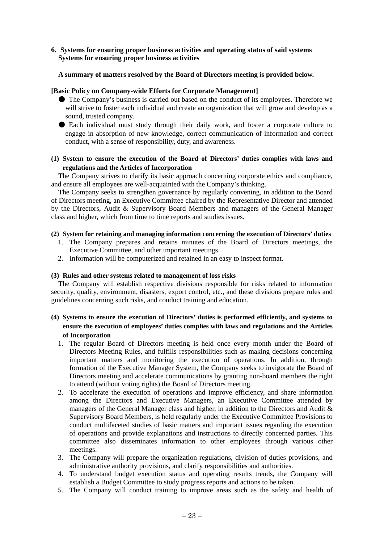## **6. Systems for ensuring proper business activities and operating status of said systems Systems for ensuring proper business activities**

# **A summary of matters resolved by the Board of Directors meeting is provided below.**

## **[Basic Policy on Company-wide Efforts for Corporate Management]**

- The Company's business is carried out based on the conduct of its employees. Therefore we will strive to foster each individual and create an organization that will grow and develop as a sound, trusted company.
- Each individual must study through their daily work, and foster a corporate culture to engage in absorption of new knowledge, correct communication of information and correct conduct, with a sense of responsibility, duty, and awareness.

## **(1) System to ensure the execution of the Board of Directors' duties complies with laws and regulations and the Articles of Incorporation**

The Company strives to clarify its basic approach concerning corporate ethics and compliance, and ensure all employees are well-acquainted with the Company's thinking.

The Company seeks to strengthen governance by regularly convening, in addition to the Board of Directors meeting, an Executive Committee chaired by the Representative Director and attended by the Directors, Audit & Supervisory Board Members and managers of the General Manager class and higher, which from time to time reports and studies issues.

## **(2) System for retaining and managing information concerning the execution of Directors' duties**

- 1. The Company prepares and retains minutes of the Board of Directors meetings, the Executive Committee, and other important meetings.
- 2. Information will be computerized and retained in an easy to inspect format.

## **(3) Rules and other systems related to management of loss risks**

The Company will establish respective divisions responsible for risks related to information security, quality, environment, disasters, export control, etc., and these divisions prepare rules and guidelines concerning such risks, and conduct training and education.

# **(4) Systems to ensure the execution of Directors' duties is performed efficiently, and systems to ensure the execution of employees' duties complies with laws and regulations and the Articles of Incorporation**

- 1. The regular Board of Directors meeting is held once every month under the Board of Directors Meeting Rules, and fulfills responsibilities such as making decisions concerning important matters and monitoring the execution of operations. In addition, through formation of the Executive Manager System, the Company seeks to invigorate the Board of Directors meeting and accelerate communications by granting non-board members the right to attend (without voting rights) the Board of Directors meeting.
- 2. To accelerate the execution of operations and improve efficiency, and share information among the Directors and Executive Managers, an Executive Committee attended by managers of the General Manager class and higher, in addition to the Directors and Audit & Supervisory Board Members, is held regularly under the Executive Committee Provisions to conduct multifaceted studies of basic matters and important issues regarding the execution of operations and provide explanations and instructions to directly concerned parties. This committee also disseminates information to other employees through various other meetings.
- 3. The Company will prepare the organization regulations, division of duties provisions, and administrative authority provisions, and clarify responsibilities and authorities.
- 4. To understand budget execution status and operating results trends, the Company will establish a Budget Committee to study progress reports and actions to be taken.
- 5. The Company will conduct training to improve areas such as the safety and health of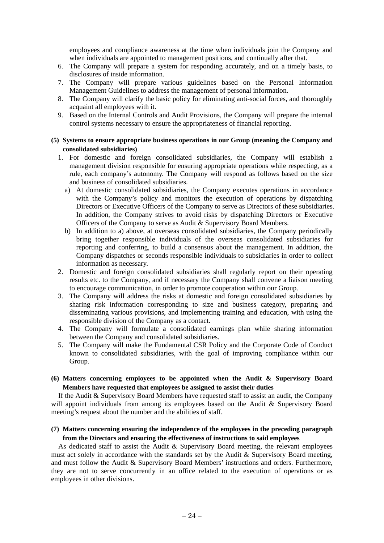employees and compliance awareness at the time when individuals join the Company and when individuals are appointed to management positions, and continually after that.

- 6. The Company will prepare a system for responding accurately, and on a timely basis, to disclosures of inside information.
- 7. The Company will prepare various guidelines based on the Personal Information Management Guidelines to address the management of personal information.
- 8. The Company will clarify the basic policy for eliminating anti-social forces, and thoroughly acquaint all employees with it.
- 9. Based on the Internal Controls and Audit Provisions, the Company will prepare the internal control systems necessary to ensure the appropriateness of financial reporting.

### **(5) Systems to ensure appropriate business operations in our Group (meaning the Company and consolidated subsidiaries)**

- 1. For domestic and foreign consolidated subsidiaries, the Company will establish a management division responsible for ensuring appropriate operations while respecting, as a rule, each company's autonomy. The Company will respond as follows based on the size and business of consolidated subsidiaries.
	- a) At domestic consolidated subsidiaries, the Company executes operations in accordance with the Company's policy and monitors the execution of operations by dispatching Directors or Executive Officers of the Company to serve as Directors of these subsidiaries. In addition, the Company strives to avoid risks by dispatching Directors or Executive Officers of the Company to serve as Audit & Supervisory Board Members.
	- b) In addition to a) above, at overseas consolidated subsidiaries, the Company periodically bring together responsible individuals of the overseas consolidated subsidiaries for reporting and conferring, to build a consensus about the management. In addition, the Company dispatches or seconds responsible individuals to subsidiaries in order to collect information as necessary.
- 2. Domestic and foreign consolidated subsidiaries shall regularly report on their operating results etc. to the Company, and if necessary the Company shall convene a liaison meeting to encourage communication, in order to promote cooperation within our Group.
- 3. The Company will address the risks at domestic and foreign consolidated subsidiaries by sharing risk information corresponding to size and business category, preparing and disseminating various provisions, and implementing training and education, with using the responsible division of the Company as a contact.
- 4. The Company will formulate a consolidated earnings plan while sharing information between the Company and consolidated subsidiaries.
- 5. The Company will make the Fundamental CSR Policy and the Corporate Code of Conduct known to consolidated subsidiaries, with the goal of improving compliance within our Group.
- **(6) Matters concerning employees to be appointed when the Audit & Supervisory Board Members have requested that employees be assigned to assist their duties**

If the Audit & Supervisory Board Members have requested staff to assist an audit, the Company will appoint individuals from among its employees based on the Audit & Supervisory Board meeting's request about the number and the abilities of staff.

### **(7) Matters concerning ensuring the independence of the employees in the preceding paragraph from the Directors and ensuring the effectiveness of instructions to said employees**

As dedicated staff to assist the Audit & Supervisory Board meeting, the relevant employees must act solely in accordance with the standards set by the Audit & Supervisory Board meeting, and must follow the Audit & Supervisory Board Members' instructions and orders. Furthermore, they are not to serve concurrently in an office related to the execution of operations or as employees in other divisions.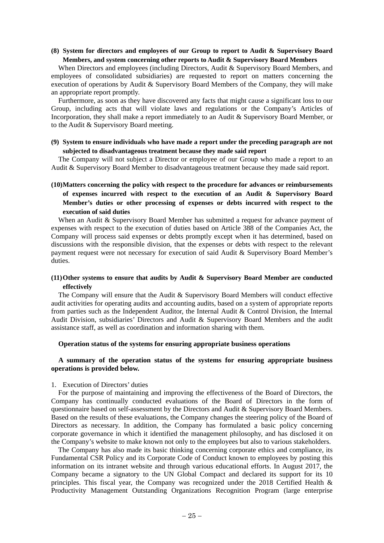### **(8) System for directors and employees of our Group to report to Audit & Supervisory Board Members, and system concerning other reports to Audit & Supervisory Board Members**

When Directors and employees (including Directors, Audit & Supervisory Board Members, and employees of consolidated subsidiaries) are requested to report on matters concerning the execution of operations by Audit & Supervisory Board Members of the Company, they will make an appropriate report promptly.

Furthermore, as soon as they have discovered any facts that might cause a significant loss to our Group, including acts that will violate laws and regulations or the Company's Articles of Incorporation, they shall make a report immediately to an Audit & Supervisory Board Member, or to the Audit & Supervisory Board meeting.

### **(9) System to ensure individuals who have made a report under the preceding paragraph are not subjected to disadvantageous treatment because they made said report**

The Company will not subject a Director or employee of our Group who made a report to an Audit & Supervisory Board Member to disadvantageous treatment because they made said report.

# **(10) Matters concerning the policy with respect to the procedure for advances or reimbursements of expenses incurred with respect to the execution of an Audit & Supervisory Board Member's duties or other processing of expenses or debts incurred with respect to the execution of said duties**

When an Audit & Supervisory Board Member has submitted a request for advance payment of expenses with respect to the execution of duties based on Article 388 of the Companies Act, the Company will process said expenses or debts promptly except when it has determined, based on discussions with the responsible division, that the expenses or debts with respect to the relevant payment request were not necessary for execution of said Audit & Supervisory Board Member's duties.

## **(11) Other systems to ensure that audits by Audit & Supervisory Board Member are conducted effectively**

The Company will ensure that the Audit & Supervisory Board Members will conduct effective audit activities for operating audits and accounting audits, based on a system of appropriate reports from parties such as the Independent Auditor, the Internal Audit & Control Division, the Internal Audit Division, subsidiaries' Directors and Audit & Supervisory Board Members and the audit assistance staff, as well as coordination and information sharing with them.

#### **Operation status of the systems for ensuring appropriate business operations**

#### **A summary of the operation status of the systems for ensuring appropriate business operations is provided below.**

#### 1. Execution of Directors' duties

For the purpose of maintaining and improving the effectiveness of the Board of Directors, the Company has continually conducted evaluations of the Board of Directors in the form of questionnaire based on self-assessment by the Directors and Audit & Supervisory Board Members. Based on the results of these evaluations, the Company changes the steering policy of the Board of Directors as necessary. In addition, the Company has formulated a basic policy concerning corporate governance in which it identified the management philosophy, and has disclosed it on the Company's website to make known not only to the employees but also to various stakeholders.

The Company has also made its basic thinking concerning corporate ethics and compliance, its Fundamental CSR Policy and its Corporate Code of Conduct known to employees by posting this information on its intranet website and through various educational efforts. In August 2017, the Company became a signatory to the UN Global Compact and declared its support for its 10 principles. This fiscal year, the Company was recognized under the 2018 Certified Health & Productivity Management Outstanding Organizations Recognition Program (large enterprise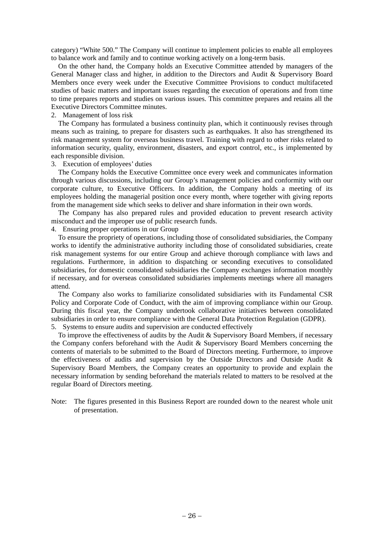category) "White 500." The Company will continue to implement policies to enable all employees to balance work and family and to continue working actively on a long-term basis.

On the other hand, the Company holds an Executive Committee attended by managers of the General Manager class and higher, in addition to the Directors and Audit & Supervisory Board Members once every week under the Executive Committee Provisions to conduct multifaceted studies of basic matters and important issues regarding the execution of operations and from time to time prepares reports and studies on various issues. This committee prepares and retains all the Executive Directors Committee minutes.

#### 2. Management of loss risk

The Company has formulated a business continuity plan, which it continuously revises through means such as training, to prepare for disasters such as earthquakes. It also has strengthened its risk management system for overseas business travel. Training with regard to other risks related to information security, quality, environment, disasters, and export control, etc., is implemented by each responsible division.

#### 3. Execution of employees' duties

The Company holds the Executive Committee once every week and communicates information through various discussions, including our Group's management policies and conformity with our corporate culture, to Executive Officers. In addition, the Company holds a meeting of its employees holding the managerial position once every month, where together with giving reports from the management side which seeks to deliver and share information in their own words.

The Company has also prepared rules and provided education to prevent research activity misconduct and the improper use of public research funds.

### 4. Ensuring proper operations in our Group

To ensure the propriety of operations, including those of consolidated subsidiaries, the Company works to identify the administrative authority including those of consolidated subsidiaries, create risk management systems for our entire Group and achieve thorough compliance with laws and regulations. Furthermore, in addition to dispatching or seconding executives to consolidated subsidiaries, for domestic consolidated subsidiaries the Company exchanges information monthly if necessary, and for overseas consolidated subsidiaries implements meetings where all managers attend.

The Company also works to familiarize consolidated subsidiaries with its Fundamental CSR Policy and Corporate Code of Conduct, with the aim of improving compliance within our Group. During this fiscal year, the Company undertook collaborative initiatives between consolidated subsidiaries in order to ensure compliance with the General Data Protection Regulation (GDPR).

5. Systems to ensure audits and supervision are conducted effectively

To improve the effectiveness of audits by the Audit & Supervisory Board Members, if necessary the Company confers beforehand with the Audit & Supervisory Board Members concerning the contents of materials to be submitted to the Board of Directors meeting. Furthermore, to improve the effectiveness of audits and supervision by the Outside Directors and Outside Audit & Supervisory Board Members, the Company creates an opportunity to provide and explain the necessary information by sending beforehand the materials related to matters to be resolved at the regular Board of Directors meeting.

Note: The figures presented in this Business Report are rounded down to the nearest whole unit of presentation.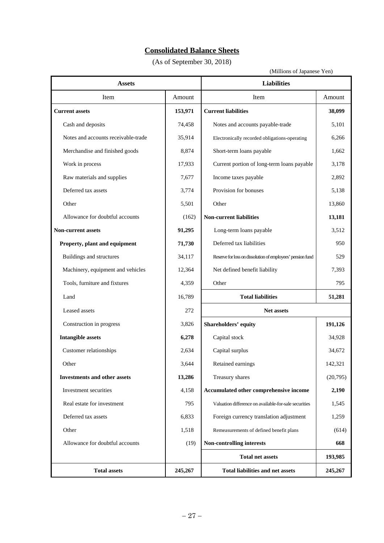# **Consolidated Balance Sheets**

(As of September 30, 2018)

(Millions of Japanese Yen)

| <b>Assets</b>                       |         | <b>Liabilities</b>                                         |         |
|-------------------------------------|---------|------------------------------------------------------------|---------|
| Item                                | Amount  | Item                                                       | Amount  |
| <b>Current assets</b>               | 153,971 | <b>Current liabilities</b>                                 | 38,099  |
| Cash and deposits                   | 74,458  | Notes and accounts payable-trade                           | 5,101   |
| Notes and accounts receivable-trade | 35,914  | 6,266<br>Electronically recorded obligations-operating     |         |
| Merchandise and finished goods      | 8,874   | Short-term loans payable                                   | 1,662   |
| Work in process                     | 17,933  | Current portion of long-term loans payable                 | 3,178   |
| Raw materials and supplies          | 7,677   | Income taxes payable                                       | 2,892   |
| Deferred tax assets                 | 3,774   | Provision for bonuses                                      | 5,138   |
| Other                               | 5,501   | Other<br>13,860                                            |         |
| Allowance for doubtful accounts     | (162)   | <b>Non-current liabilities</b>                             | 13,181  |
| <b>Non-current assets</b>           | 91,295  | Long-term loans payable                                    | 3,512   |
| Property, plant and equipment       | 71,730  | Deferred tax liabilities                                   | 950     |
| Buildings and structures            | 34,117  | Reserve for loss on dissolution of employees' pension fund |         |
| Machinery, equipment and vehicles   | 12,364  | Net defined benefit liability<br>7,393                     |         |
| Tools, furniture and fixtures       | 4,359   | Other<br>795                                               |         |
| Land                                | 16,789  | <b>Total liabilities</b><br>51,281                         |         |
| Leased assets                       | 272     | Net assets                                                 |         |
| Construction in progress            | 3,826   | 191,126<br>Shareholders' equity                            |         |
| <b>Intangible assets</b>            | 6,278   | Capital stock<br>34,928                                    |         |
| Customer relationships              | 2,634   | Capital surplus<br>34,672                                  |         |
| Other                               | 3,644   | 142,321<br>Retained earnings                               |         |
| <b>Investments and other assets</b> | 13,286  | (20,795)<br>Treasury shares                                |         |
| Investment securities               | 4,158   | Accumulated other comprehensive income<br>2,190            |         |
| Real estate for investment          | 795     | Valuation difference on available-for-sale securities      | 1,545   |
| Deferred tax assets                 | 6,833   | Foreign currency translation adjustment<br>1,259           |         |
| Other                               | 1,518   | (614)<br>Remeasurements of defined benefit plans           |         |
| Allowance for doubtful accounts     | (19)    | Non-controlling interests<br>668                           |         |
|                                     |         | <b>Total net assets</b>                                    | 193,985 |
| <b>Total assets</b>                 | 245,267 | <b>Total liabilities and net assets</b><br>245,267         |         |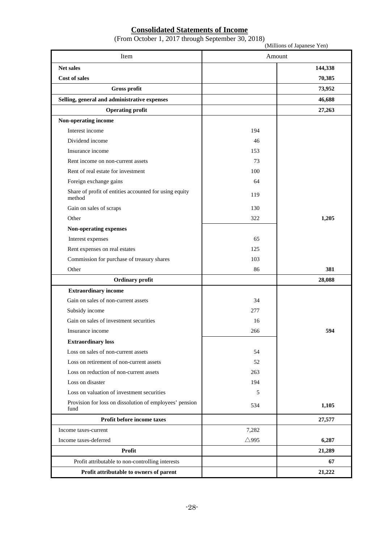# **Consolidated Statements of Income**

|  |  | (From October 1, 2017 through September 30, 2018) |  |
|--|--|---------------------------------------------------|--|
|  |  |                                                   |  |

|                                                                  |                 | (Millions of Japanese Yen) |
|------------------------------------------------------------------|-----------------|----------------------------|
| Item                                                             | Amount          |                            |
| Net sales                                                        |                 | 144,338                    |
| <b>Cost of sales</b>                                             |                 | 70,385                     |
| Gross profit                                                     |                 | 73,952                     |
| Selling, general and administrative expenses                     |                 | 46,688                     |
| <b>Operating profit</b>                                          |                 | 27,263                     |
| Non-operating income                                             |                 |                            |
| Interest income                                                  | 194             |                            |
| Dividend income                                                  | 46              |                            |
| Insurance income                                                 | 153             |                            |
| Rent income on non-current assets                                | 73              |                            |
| Rent of real estate for investment                               | 100             |                            |
| Foreign exchange gains                                           | 64              |                            |
| Share of profit of entities accounted for using equity<br>method | 119             |                            |
| Gain on sales of scraps                                          | 130             |                            |
| Other                                                            | 322             | 1,205                      |
| Non-operating expenses                                           |                 |                            |
| Interest expenses                                                | 65              |                            |
| Rent expenses on real estates                                    | 125             |                            |
| Commission for purchase of treasury shares                       | 103             |                            |
| Other                                                            | 86              | 381                        |
| Ordinary profit                                                  |                 | 28,088                     |
| <b>Extraordinary income</b>                                      |                 |                            |
| Gain on sales of non-current assets                              | 34              |                            |
| Subsidy income                                                   | 277             |                            |
| Gain on sales of investment securities                           | 16              |                            |
| Insurance income                                                 | 266             | 594                        |
| <b>Extraordinary loss</b>                                        |                 |                            |
| Loss on sales of non-current assets                              | 54              |                            |
| Loss on retirement of non-current assets                         | 52              |                            |
| Loss on reduction of non-current assets                          | 263             |                            |
| Loss on disaster                                                 | 194             |                            |
| Loss on valuation of investment securities                       | 5               |                            |
| Provision for loss on dissolution of employees' pension<br>fund  | 534             | 1,105                      |
| Profit before income taxes                                       |                 | 27,577                     |
| Income taxes-current                                             | 7,282           |                            |
| Income taxes-deferred                                            | $\triangle$ 995 | 6,287                      |
| Profit                                                           |                 | 21,289                     |
| Profit attributable to non-controlling interests                 |                 | 67                         |
| Profit attributable to owners of parent                          |                 | 21,222                     |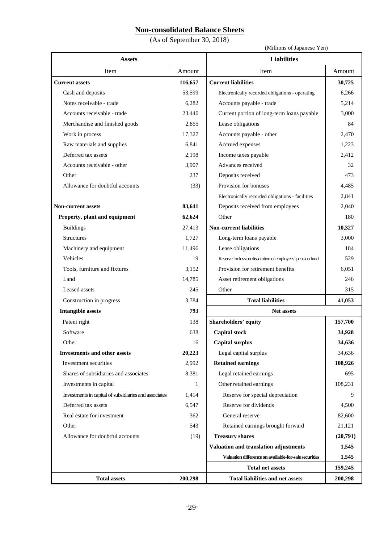# **Non-consolidated Balance Sheets**

(As of September 30, 2018)

(Millions of Japanese Yen)

| <b>Assets</b>                                         |              | <b>Liabilities</b>                                         |         |
|-------------------------------------------------------|--------------|------------------------------------------------------------|---------|
| Item                                                  | Amount       | Item<br>Amount                                             |         |
| <b>Current assets</b>                                 | 116,657      | <b>Current liabilities</b>                                 | 30,725  |
| Cash and deposits                                     | 53,599       | Electronically recorded obligations - operating            | 6,266   |
| Notes receivable - trade                              | 6,282        | Accounts payable - trade                                   | 5,214   |
| Accounts receivable - trade                           | 23,440       | Current portion of long-term loans payable                 | 3,000   |
| Merchandise and finished goods                        | 2,855        | Lease obligations                                          | 84      |
| Work in process                                       | 17,327       | Accounts payable - other                                   | 2,470   |
| Raw materials and supplies                            | 6,841        | Accrued expenses                                           | 1,223   |
| Deferred tax assets                                   | 2,198        | Income taxes payable                                       | 2,412   |
| Accounts receivable - other                           | 3,907        | Advances received                                          | 32      |
| Other                                                 | 237          | Deposits received                                          | 473     |
| Allowance for doubtful accounts                       | (33)         | Provision for bonuses                                      | 4,485   |
|                                                       |              | Electronically recorded obligations - facilities           | 2,841   |
| <b>Non-current assets</b>                             | 83,641       | Deposits received from employees                           | 2,040   |
| Property, plant and equipment                         | 62,624       | Other                                                      | 180     |
| <b>Buildings</b>                                      | 27,413       | <b>Non-current liabilities</b>                             | 10,327  |
| <b>Structures</b>                                     | 1,727        | Long-term loans payable                                    | 3,000   |
| Machinery and equipment                               | 11,496       | Lease obligations                                          | 184     |
| Vehicles                                              | 19           | Reserve for loss on dissolution of employees' pension fund | 529     |
| Tools, furniture and fixtures                         | 3,152        | Provision for retirement benefits                          | 6,051   |
| Land                                                  | 14,785       | Asset retirement obligations                               |         |
| Leased assets                                         | 245          | Other<br>315                                               |         |
| Construction in progress                              | 3,784        | <b>Total liabilities</b><br>41,053                         |         |
| <b>Intangible assets</b>                              | 793          | <b>Net assets</b>                                          |         |
| Patent right                                          | 138          | Shareholders' equity<br>157,700                            |         |
| Software                                              | 638          | <b>Capital stock</b><br>34,928                             |         |
| Other                                                 | 16           | 34,636<br><b>Capital surplus</b>                           |         |
| <b>Investments and other assets</b>                   | 20,223       | Legal capital surplus                                      | 34,636  |
| Investment securities                                 | 2,992        | <b>Retained earnings</b>                                   | 108,926 |
| Shares of subsidiaries and associates                 | 8,381        | Legal retained earnings                                    |         |
| Investments in capital                                | $\mathbf{1}$ | Other retained earnings<br>108,231                         |         |
| Investments in capital of subsidiaries and associates | 1,414        | Reserve for special depreciation                           |         |
| Deferred tax assets                                   | 6,547        | Reserve for dividends<br>4,500                             |         |
| Real estate for investment                            | 362          | General reserve<br>82,600                                  |         |
| Other                                                 | 543          | Retained earnings brought forward<br>21,121                |         |
| Allowance for doubtful accounts                       | (19)         | <b>Treasury shares</b><br>(20,791)                         |         |
|                                                       |              | Valuation and translation adjustments                      | 1,545   |
|                                                       |              | Valuation difference on available-for-sale securities      | 1,545   |
|                                                       |              | <b>Total net assets</b>                                    | 159,245 |
| <b>Total assets</b>                                   | 200,298      | <b>Total liabilities and net assets</b>                    | 200,298 |